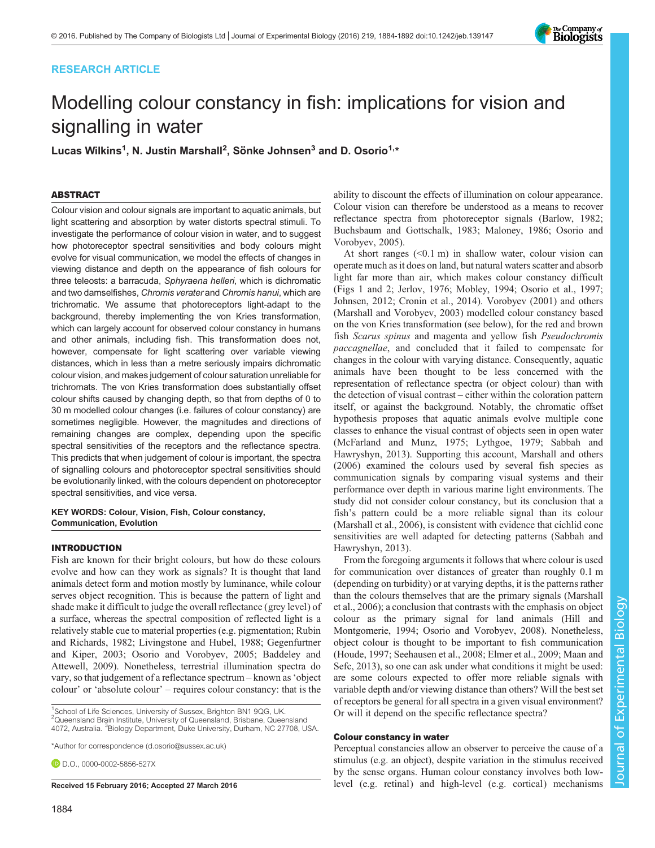## RESEARCH ARTICLE

# Modelling colour constancy in fish: implications for vision and signalling in water

Lucas Wilkins<sup>1</sup>, N. Justin Marshall<sup>2</sup>, Sönke Johnsen<sup>3</sup> and D. Osorio<sup>1,\*</sup>

## ABSTRACT

Colour vision and colour signals are important to aquatic animals, but light scattering and absorption by water distorts spectral stimuli. To investigate the performance of colour vision in water, and to suggest how photoreceptor spectral sensitivities and body colours might evolve for visual communication, we model the effects of changes in viewing distance and depth on the appearance of fish colours for three teleosts: a barracuda, Sphyraena helleri, which is dichromatic and two damselfishes, Chromis verater and Chromis hanui, which are trichromatic. We assume that photoreceptors light-adapt to the background, thereby implementing the von Kries transformation, which can largely account for observed colour constancy in humans and other animals, including fish. This transformation does not, however, compensate for light scattering over variable viewing distances, which in less than a metre seriously impairs dichromatic colour vision, and makes judgement of colour saturation unreliable for trichromats. The von Kries transformation does substantially offset colour shifts caused by changing depth, so that from depths of 0 to 30 m modelled colour changes (i.e. failures of colour constancy) are sometimes negligible. However, the magnitudes and directions of remaining changes are complex, depending upon the specific spectral sensitivities of the receptors and the reflectance spectra. This predicts that when judgement of colour is important, the spectra of signalling colours and photoreceptor spectral sensitivities should be evolutionarily linked, with the colours dependent on photoreceptor spectral sensitivities, and vice versa.

KEY WORDS: Colour, Vision, Fish, Colour constancy, Communication, Evolution

## INTRODUCTION

Fish are known for their bright colours, but how do these colours evolve and how can they work as signals? It is thought that land animals detect form and motion mostly by luminance, while colour serves object recognition. This is because the pattern of light and shade make it difficult to judge the overall reflectance (grey level) of a surface, whereas the spectral composition of reflected light is a relatively stable cue to material properties (e.g. pigmentation; [Rubin](#page-7-0) [and Richards, 1982; Livingstone and Hubel, 1988; Gegenfurtner](#page-7-0) [and Kiper, 2003](#page-7-0); [Osorio and Vorobyev, 2005; Baddeley and](#page-7-0) [Attewell, 2009\)](#page-7-0). Nonetheless, terrestrial illumination spectra do vary, so that judgement of a reflectance spectrum – known as'object colour' or 'absolute colour' – requires colour constancy: that is the

<sup>1</sup>School of Life Sciences, University of Sussex, Brighton BN1 9QG, UK. <sup>2</sup>Queensland Brain Institute, University of Queensland, Brisbane, Queensland 4072, Australia. <sup>3</sup>Biology Department, Duke University, Durham, NC 27708, USA.

\*Author for correspondence [\(d.osorio@sussex.ac.uk](mailto:d.osorio@sussex.ac.uk))

**D.D.O.**, [0000-0002-5856-527X](http://orcid.org/0000-0002-5856-527X)

ability to discount the effects of illumination on colour appearance. Colour vision can therefore be understood as a means to recover reflectance spectra from photoreceptor signals ([Barlow, 1982](#page-7-0); [Buchsbaum and Gottschalk, 1983](#page-7-0); [Maloney, 1986; Osorio and](#page-7-0) [Vorobyev, 2005](#page-7-0)).

At short ranges  $( $0.1 \text{ m}$ )$  in shallow water, colour vision can operate much as it does on land, but natural waters scatter and absorb light far more than air, which makes colour constancy difficult [\(Figs 1](#page-1-0) and [2;](#page-1-0) [Jerlov, 1976](#page-7-0); [Mobley, 1994; Osorio et al., 1997](#page-7-0); [Johnsen, 2012](#page-7-0); [Cronin et al., 2014](#page-7-0)). [Vorobyev \(2001\) and others](#page-8-0) [\(Marshall and Vorobyev, 2003](#page-7-0)) modelled colour constancy based on the von Kries transformation (see below), for the red and brown fish Scarus spinus and magenta and yellow fish Pseudochromis paccagnellae, and concluded that it failed to compensate for changes in the colour with varying distance. Consequently, aquatic animals have been thought to be less concerned with the representation of reflectance spectra (or object colour) than with the detection of visual contrast – either within the coloration pattern itself, or against the background. Notably, the chromatic offset hypothesis proposes that aquatic animals evolve multiple cone classes to enhance the visual contrast of objects seen in open water [\(McFarland and Munz, 1975](#page-7-0); [Lythgoe, 1979](#page-7-0); [Sabbah and](#page-7-0) [Hawryshyn, 2013](#page-7-0)). Supporting this account, [Marshall and others](#page-7-0) [\(2006\)](#page-7-0) examined the colours used by several fish species as communication signals by comparing visual systems and their performance over depth in various marine light environments. The study did not consider colour constancy, but its conclusion that a fish's pattern could be a more reliable signal than its colour [\(Marshall et al., 2006](#page-7-0)), is consistent with evidence that cichlid cone sensitivities are well adapted for detecting patterns ([Sabbah and](#page-7-0) [Hawryshyn, 2013](#page-7-0)).

From the foregoing arguments it follows that where colour is used for communication over distances of greater than roughly 0.1 m (depending on turbidity) or at varying depths, it is the patterns rather than the colours themselves that are the primary signals ([Marshall](#page-7-0) [et al., 2006](#page-7-0)); a conclusion that contrasts with the emphasis on object colour as the primary signal for land animals [\(Hill and](#page-7-0) [Montgomerie, 1994; Osorio and Vorobyev, 2008\)](#page-7-0). Nonetheless, object colour is thought to be important to fish communication [\(Houde, 1997;](#page-7-0) [Seehausen et al., 2008;](#page-8-0) [Elmer et al., 2009](#page-7-0); [Maan and](#page-7-0) [Sefc, 2013](#page-7-0)), so one can ask under what conditions it might be used: are some colours expected to offer more reliable signals with variable depth and/or viewing distance than others? Will the best set of receptors be general for all spectra in a given visual environment? Or will it depend on the specific reflectance spectra?

#### Colour constancy in water

Perceptual constancies allow an observer to perceive the cause of a stimulus (e.g. an object), despite variation in the stimulus received by the sense organs. Human colour constancy involves both low-Received 15 February 2016; Accepted 27 March 2016 level (e.g. retinal) and high-level (e.g. cortical) mechanisms

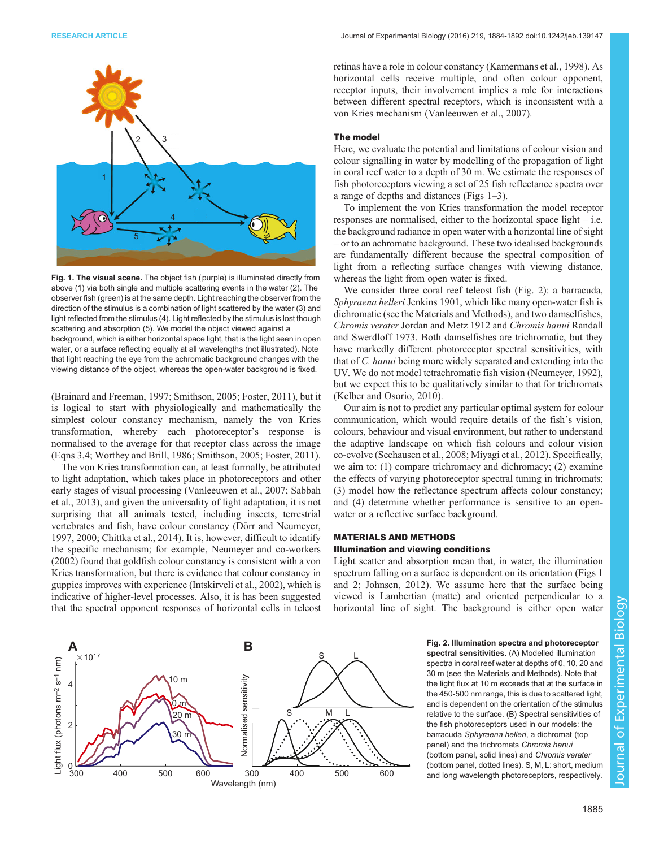<span id="page-1-0"></span>

Fig. 1. The visual scene. The object fish (purple) is illuminated directly from above (1) via both single and multiple scattering events in the water (2). The observer fish (green) is at the same depth. Light reaching the observer from the direction of the stimulus is a combination of light scattered by the water (3) and light reflected from the stimulus (4). Light reflected by the stimulus is lost though scattering and absorption (5). We model the object viewed against a background, which is either horizontal space light, that is the light seen in open water, or a surface reflecting equally at all wavelengths (not illustrated). Note that light reaching the eye from the achromatic background changes with the viewing distance of the object, whereas the open-water background is fixed.

[\(Brainard and Freeman, 1997;](#page-7-0) [Smithson, 2005;](#page-8-0) [Foster, 2011](#page-7-0)), but it is logical to start with physiologically and mathematically the simplest colour constancy mechanism, namely the von Kries transformation, whereby each photoreceptor's response is normalised to the average for that receptor class across the image (Eqns 3,4; [Worthey and Brill, 1986](#page-8-0); [Smithson, 2005](#page-8-0); [Foster, 2011\)](#page-7-0).

The von Kries transformation can, at least formally, be attributed to light adaptation, which takes place in photoreceptors and other early stages of visual processing [\(Vanleeuwen et al., 2007](#page-8-0); [Sabbah](#page-8-0) [et al., 2013](#page-8-0)), and given the universality of light adaptation, it is not surprising that all animals tested, including insects, terrestrial vertebrates and fish, have colour constancy ([Dörr and Neumeyer,](#page-7-0) [1997](#page-7-0), [2000; Chittka et al., 2014\)](#page-7-0). It is, however, difficult to identify the specific mechanism; for example, [Neumeyer and co-workers](#page-7-0) [\(2002\)](#page-7-0) found that goldfish colour constancy is consistent with a von Kries transformation, but there is evidence that colour constancy in guppies improves with experience ([Intskirveli et al., 2002](#page-7-0)), which is indicative of higher-level processes. Also, it is has been suggested that the spectral opponent responses of horizontal cells in teleost

retinas have a role in colour constancy ([Kamermans et al., 1998](#page-7-0)). As horizontal cells receive multiple, and often colour opponent, receptor inputs, their involvement implies a role for interactions between different spectral receptors, which is inconsistent with a von Kries mechanism [\(Vanleeuwen et al., 2007](#page-8-0)).

#### The model

Here, we evaluate the potential and limitations of colour vision and colour signalling in water by modelling of the propagation of light in coral reef water to a depth of 30 m. We estimate the responses of fish photoreceptors viewing a set of 25 fish reflectance spectra over a range of depths and distances (Figs 1–[3\)](#page-2-0).

To implement the von Kries transformation the model receptor responses are normalised, either to the horizontal space light – i.e. the background radiance in open water with a horizontal line of sight – or to an achromatic background. These two idealised backgrounds are fundamentally different because the spectral composition of light from a reflecting surface changes with viewing distance, whereas the light from open water is fixed.

We consider three coral reef teleost fish (Fig. 2): a barracuda, Sphyraena helleri Jenkins 1901, which like many open-water fish is dichromatic (see the Materials and Methods), and two damselfishes, Chromis verater Jordan and Metz 1912 and Chromis hanui Randall and Swerdloff 1973. Both damselfishes are trichromatic, but they have markedly different photoreceptor spectral sensitivities, with that of C. hanui being more widely separated and extending into the UV. We do not model tetrachromatic fish vision [\(Neumeyer, 1992\)](#page-7-0), but we expect this to be qualitatively similar to that for trichromats [\(Kelber and Osorio, 2010](#page-7-0)).

Our aim is not to predict any particular optimal system for colour communication, which would require details of the fish's vision, colours, behaviour and visual environment, but rather to understand the adaptive landscape on which fish colours and colour vision co-evolve ([Seehausen et al., 2008;](#page-8-0) [Miyagi et al., 2012\)](#page-7-0). Specifically, we aim to: (1) compare trichromacy and dichromacy; (2) examine the effects of varying photoreceptor spectral tuning in trichromats; (3) model how the reflectance spectrum affects colour constancy; and (4) determine whether performance is sensitive to an openwater or a reflective surface background.

## MATERIALS AND METHODS

#### Illumination and viewing conditions

Light scatter and absorption mean that, in water, the illumination spectrum falling on a surface is dependent on its orientation (Figs 1 and 2; [Johnsen, 2012](#page-7-0)). We assume here that the surface being viewed is Lambertian (matte) and oriented perpendicular to a horizontal line of sight. The background is either open water



Fig. 2. Illumination spectra and photoreceptor spectral sensitivities. (A) Modelled illumination spectra in coral reef water at depths of 0, 10, 20 and 30 m (see the Materials and Methods). Note that the light flux at 10 m exceeds that at the surface in the 450-500 nm range, this is due to scattered light, and is dependent on the orientation of the stimulus relative to the surface. (B) Spectral sensitivities of the fish photoreceptors used in our models: the barracuda Sphyraena helleri, a dichromat (top panel) and the trichromats Chromis hanui (bottom panel, solid lines) and Chromis verater (bottom panel, dotted lines). S, M, L: short, medium and long wavelength photoreceptors, respectively.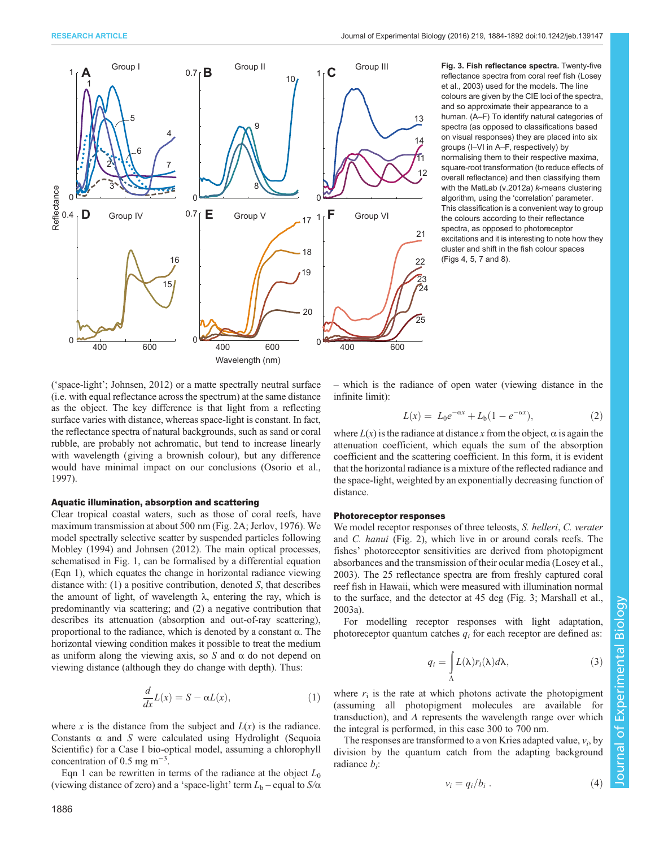<span id="page-2-0"></span>

Fig. 3. Fish reflectance spectra. Twenty-five reflectance spectra from coral reef fish ([Losey](#page-7-0) [et al., 2003](#page-7-0)) used for the models. The line colours are given by the CIE loci of the spectra, and so approximate their appearance to a human. (A–F) To identify natural categories of spectra (as opposed to classifications based on visual responses) they are placed into six groups (I–VI in A–F, respectively) by normalising them to their respective maxima, square-root transformation (to reduce effects of overall reflectance) and then classifying them with the MatLab (v.2012a) k-means clustering algorithm, using the 'correlation' parameter. This classification is a convenient way to group the colours according to their reflectance spectra, as opposed to photoreceptor excitations and it is interesting to note how they cluster and shift in the fish colour spaces [\(Figs 4](#page-3-0), [5,](#page-4-0) [7](#page-5-0) and [8\)](#page-6-0).

('space-light'; [Johnsen, 2012](#page-7-0)) or a matte spectrally neutral surface (i.e. with equal reflectance across the spectrum) at the same distance as the object. The key difference is that light from a reflecting surface varies with distance, whereas space-light is constant. In fact, the reflectance spectra of natural backgrounds, such as sand or coral rubble, are probably not achromatic, but tend to increase linearly with wavelength (giving a brownish colour), but any difference would have minimal impact on our conclusions [\(Osorio et al.,](#page-7-0) [1997](#page-7-0)).

#### Aquatic illumination, absorption and scattering

Clear tropical coastal waters, such as those of coral reefs, have maximum transmission at about 500 nm ([Fig. 2](#page-1-0)A; [Jerlov, 1976](#page-7-0)). We model spectrally selective scatter by suspended particles following [Mobley \(1994\)](#page-7-0) and [Johnsen \(2012\)](#page-7-0). The main optical processes, schematised in [Fig. 1](#page-1-0), can be formalised by a differential equation (Eqn 1), which equates the change in horizontal radiance viewing distance with:  $(1)$  a positive contribution, denoted S, that describes the amount of light, of wavelength  $\lambda$ , entering the ray, which is predominantly via scattering; and (2) a negative contribution that describes its attenuation (absorption and out-of-ray scattering), proportional to the radiance, which is denoted by a constant α. The horizontal viewing condition makes it possible to treat the medium as uniform along the viewing axis, so S and  $\alpha$  do not depend on viewing distance (although they do change with depth). Thus:

$$
\frac{d}{dx}L(x) = S - \alpha L(x),\tag{1}
$$

where x is the distance from the subject and  $L(x)$  is the radiance. Constants  $\alpha$  and S were calculated using Hydrolight (Sequoia Scientific) for a Case I bio-optical model, assuming a chlorophyll concentration of 0.5 mg  $m^{-3}$ .

Eqn 1 can be rewritten in terms of the radiance at the object  $L_0$ (viewing distance of zero) and a 'space-light' term  $L_b$  – equal to  $S/\alpha$ 

– which is the radiance of open water (viewing distance in the infinite limit):

$$
L(x) = L_0 e^{-\alpha x} + L_b (1 - e^{-\alpha x}), \tag{2}
$$

where  $L(x)$  is the radiance at distance x from the object,  $\alpha$  is again the attenuation coefficient, which equals the sum of the absorption coefficient and the scattering coefficient. In this form, it is evident that the horizontal radiance is a mixture of the reflected radiance and the space-light, weighted by an exponentially decreasing function of distance.

## Photoreceptor responses

We model receptor responses of three teleosts, S. helleri, C. verater and C. hanui ([Fig. 2](#page-1-0)), which live in or around corals reefs. The fishes' photoreceptor sensitivities are derived from photopigment absorbances and the transmission of their ocular media [\(Losey et al.,](#page-7-0) [2003\)](#page-7-0). The 25 reflectance spectra are from freshly captured coral reef fish in Hawaii, which were measured with illumination normal to the surface, and the detector at 45 deg (Fig. 3; [Marshall et al.,](#page-7-0) [2003a](#page-7-0)).

For modelling receptor responses with light adaptation, photoreceptor quantum catches  $q_i$  for each receptor are defined as:

$$
q_i = \int_{\Lambda} L(\lambda) r_i(\lambda) d\lambda, \qquad (3)
$$

where  $r_i$  is the rate at which photons activate the photopigment (assuming all photopigment molecules are available for transduction), and  $\Lambda$  represents the wavelength range over which the integral is performed, in this case 300 to 700 nm.

The responses are transformed to a von Kries adapted value,  $v_i$ , by division by the quantum catch from the adapting background radiance  $b_i$ :

$$
v_i = q_i/b_i \tag{4}
$$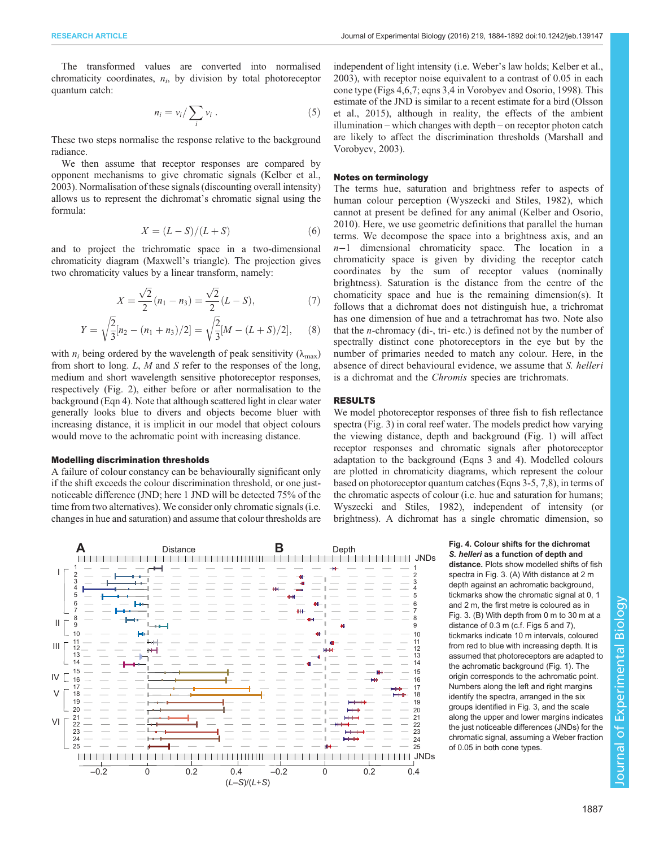<span id="page-3-0"></span>The transformed values are converted into normalised chromaticity coordinates,  $n_i$ , by division by total photoreceptor quantum catch:

$$
n_i = v_i / \sum_i v_i \ . \tag{5}
$$

These two steps normalise the response relative to the background radiance.

We then assume that receptor responses are compared by opponent mechanisms to give chromatic signals [\(Kelber et al.,](#page-7-0) [2003](#page-7-0)). Normalisation of these signals (discounting overall intensity) allows us to represent the dichromat's chromatic signal using the formula:

$$
X = (L - S)/(L + S) \tag{6}
$$

and to project the trichromatic space in a two-dimensional chromaticity diagram (Maxwell's triangle). The projection gives two chromaticity values by a linear transform, namely:

$$
X = \frac{\sqrt{2}}{2}(n_1 - n_3) = \frac{\sqrt{2}}{2}(L - S),
$$
\n(7)

$$
Y = \sqrt{\frac{2}{3}}[n_2 - (n_1 + n_3)/2] = \sqrt{\frac{2}{3}}[M - (L + S)/2],
$$
 (8)

with  $n_i$  being ordered by the wavelength of peak sensitivity ( $\lambda_{\text{max}}$ ) from short to long. L, M and S refer to the responses of the long, medium and short wavelength sensitive photoreceptor responses, respectively [\(Fig. 2](#page-1-0)), either before or after normalisation to the background (Eqn 4). Note that although scattered light in clear water generally looks blue to divers and objects become bluer with increasing distance, it is implicit in our model that object colours would move to the achromatic point with increasing distance.

#### Modelling discrimination thresholds

A failure of colour constancy can be behaviourally significant only if the shift exceeds the colour discrimination threshold, or one justnoticeable difference (JND; here 1 JND will be detected 75% of the time from two alternatives). We consider only chromatic signals (i.e. changes in hue and saturation) and assume that colour thresholds are independent of light intensity (i.e. Weber's law holds; [Kelber et al.,](#page-7-0) [2003\)](#page-7-0), with receptor noise equivalent to a contrast of 0.05 in each cone type (Figs 4[,6](#page-4-0)[,7;](#page-5-0) eqns 3,4 in [Vorobyev and Osorio, 1998\)](#page-8-0). This estimate of the JND is similar to a recent estimate for a bird ([Olsson](#page-7-0) [et al., 2015\)](#page-7-0), although in reality, the effects of the ambient illumination – which changes with depth – on receptor photon catch are likely to affect the discrimination thresholds [\(Marshall and](#page-7-0) [Vorobyev, 2003](#page-7-0)).

#### Notes on terminology

The terms hue, saturation and brightness refer to aspects of human colour perception ([Wyszecki and Stiles, 1982](#page-8-0)), which cannot at present be defined for any animal [\(Kelber and Osorio,](#page-7-0) [2010](#page-7-0)). Here, we use geometric definitions that parallel the human terms. We decompose the space into a brightness axis, and an n−1 dimensional chromaticity space. The location in a chromaticity space is given by dividing the receptor catch coordinates by the sum of receptor values (nominally brightness). Saturation is the distance from the centre of the chomaticity space and hue is the remaining dimension(s). It follows that a dichromat does not distinguish hue, a trichromat has one dimension of hue and a tetrachromat has two. Note also that the n-chromacy (di-, tri- etc.) is defined not by the number of spectrally distinct cone photoreceptors in the eye but by the number of primaries needed to match any colour. Here, in the absence of direct behavioural evidence, we assume that S. helleri is a dichromat and the Chromis species are trichromats.

## RESULTS

We model photoreceptor responses of three fish to fish reflectance spectra ([Fig. 3\)](#page-2-0) in coral reef water. The models predict how varying the viewing distance, depth and background [\(Fig. 1](#page-1-0)) will affect receptor responses and chromatic signals after photoreceptor adaptation to the background (Eqns 3 and 4). Modelled colours are plotted in chromaticity diagrams, which represent the colour based on photoreceptor quantum catches (Eqns 3-5, 7,8), in terms of the chromatic aspects of colour (i.e. hue and saturation for humans; [Wyszecki and Stiles, 1982](#page-8-0)), independent of intensity (or brightness). A dichromat has a single chromatic dimension, so



S. helleri as a function of depth and

distance. Plots show modelled shifts of fish spectra in [Fig. 3](#page-2-0). (A) With distance at 2 m depth against an achromatic background, tickmarks show the chromatic signal at 0, 1 and 2 m, the first metre is coloured as in [Fig. 3](#page-2-0). (B) With depth from 0 m to 30 m at a distance of 0.3 m (c.f. [Figs 5](#page-4-0) and [7\)](#page-5-0), tickmarks indicate 10 m intervals, coloured from red to blue with increasing depth. It is assumed that photoreceptors are adapted to the achromatic background [\(Fig. 1\)](#page-1-0). The origin corresponds to the achromatic point. Numbers along the left and right margins identify the spectra, arranged in the six groups identified in [Fig. 3,](#page-2-0) and the scale along the upper and lower margins indicates the just noticeable differences (JNDs) for the chromatic signal, assuming a Weber fraction of 0.05 in both cone types.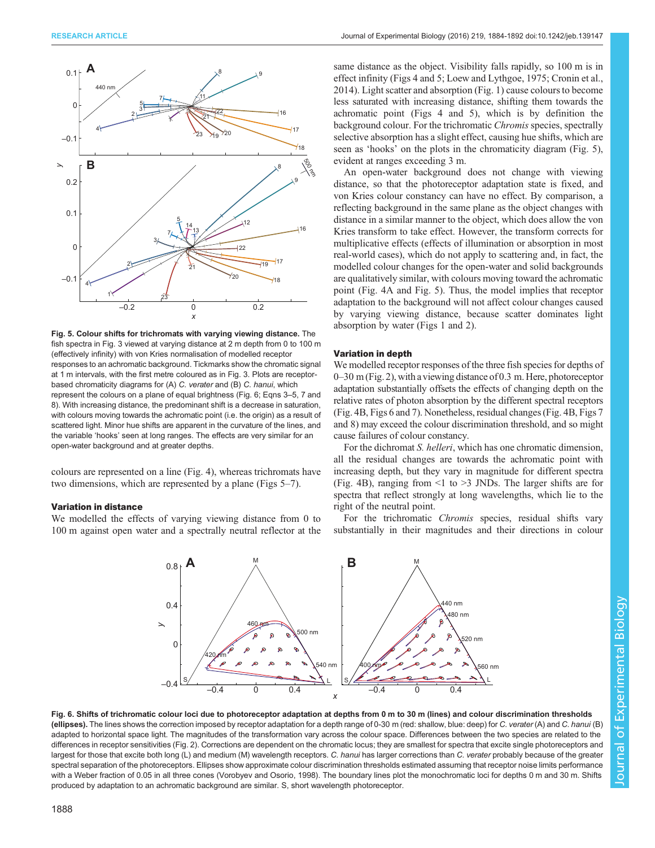<span id="page-4-0"></span>

Fig. 5. Colour shifts for trichromats with varying viewing distance. The fish spectra in [Fig. 3](#page-2-0) viewed at varying distance at 2 m depth from 0 to 100 m (effectively infinity) with von Kries normalisation of modelled receptor responses to an achromatic background. Tickmarks show the chromatic signal at 1 m intervals, with the first metre coloured as in Fig. 3. Plots are receptorbased chromaticity diagrams for (A) C. verater and (B) C. hanui, which represent the colours on a plane of equal brightness (Fig. 6; Eqns 3–5, 7 and 8). With increasing distance, the predominant shift is a decrease in saturation, with colours moving towards the achromatic point (i.e. the origin) as a result of scattered light. Minor hue shifts are apparent in the curvature of the lines, and the variable 'hooks' seen at long ranges. The effects are very similar for an open-water background and at greater depths.

colours are represented on a line [\(Fig. 4](#page-3-0)), whereas trichromats have two dimensions, which are represented by a plane (Figs 5–[7](#page-5-0)).

### Variation in distance

We modelled the effects of varying viewing distance from 0 to 100 m against open water and a spectrally neutral reflector at the

same distance as the object. Visibility falls rapidly, so 100 m is in effect infinity ([Figs 4](#page-3-0) and 5; [Loew and Lythgoe, 1975](#page-7-0); [Cronin et al.,](#page-7-0) [2014\)](#page-7-0). Light scatter and absorption ([Fig. 1](#page-1-0)) cause colours to become less saturated with increasing distance, shifting them towards the achromatic point [\(Figs 4](#page-3-0) and 5), which is by definition the background colour. For the trichromatic Chromis species, spectrally selective absorption has a slight effect, causing hue shifts, which are seen as 'hooks' on the plots in the chromaticity diagram (Fig. 5), evident at ranges exceeding 3 m.

An open-water background does not change with viewing distance, so that the photoreceptor adaptation state is fixed, and von Kries colour constancy can have no effect. By comparison, a reflecting background in the same plane as the object changes with distance in a similar manner to the object, which does allow the von Kries transform to take effect. However, the transform corrects for multiplicative effects (effects of illumination or absorption in most real-world cases), which do not apply to scattering and, in fact, the modelled colour changes for the open-water and solid backgrounds are qualitatively similar, with colours moving toward the achromatic point [\(Fig. 4](#page-3-0)A and Fig. 5). Thus, the model implies that receptor adaptation to the background will not affect colour changes caused by varying viewing distance, because scatter dominates light absorption by water ([Figs 1](#page-1-0) and [2](#page-1-0)).

## Variation in depth

We modelled receptor responses of the three fish species for depths of 0–30 m ([Fig. 2](#page-1-0)), with a viewing distance of 0.3 m. Here, photoreceptor adaptation substantially offsets the effects of changing depth on the relative rates of photon absorption by the different spectral receptors [\(Fig. 4](#page-3-0)B, Figs 6 and [7\)](#page-5-0). Nonetheless, residual changes ([Fig. 4](#page-3-0)B, [Figs 7](#page-5-0) and [8](#page-6-0)) may exceed the colour discrimination threshold, and so might cause failures of colour constancy.

For the dichromat S. helleri, which has one chromatic dimension, all the residual changes are towards the achromatic point with increasing depth, but they vary in magnitude for different spectra [\(Fig. 4](#page-3-0)B), ranging from <1 to >3 JNDs. The larger shifts are for spectra that reflect strongly at long wavelengths, which lie to the right of the neutral point.

For the trichromatic Chromis species, residual shifts vary substantially in their magnitudes and their directions in colour



Fig. 6. Shifts of trichromatic colour loci due to photoreceptor adaptation at depths from 0 m to 30 m (lines) and colour discrimination thresholds (ellipses). The lines shows the correction imposed by receptor adaptation for a depth range of 0-30 m (red: shallow, blue: deep) for C. verater (A) and C. hanui (B) adapted to horizontal space light. The magnitudes of the transformation vary across the colour space. Differences between the two species are related to the differences in receptor sensitivities ([Fig. 2](#page-1-0)). Corrections are dependent on the chromatic locus; they are smallest for spectra that excite single photoreceptors and largest for those that excite both long (L) and medium (M) wavelength receptors. C. hanui has larger corrections than C. verater probably because of the greater spectral separation of the photoreceptors. Ellipses show approximate colour discrimination thresholds estimated assuming that receptor noise limits performance with a Weber fraction of 0.05 in all three cones ([Vorobyev and Osorio, 1998](#page-8-0)). The boundary lines plot the monochromatic loci for depths 0 m and 30 m. Shifts produced by adaptation to an achromatic background are similar. S, short wavelength photoreceptor.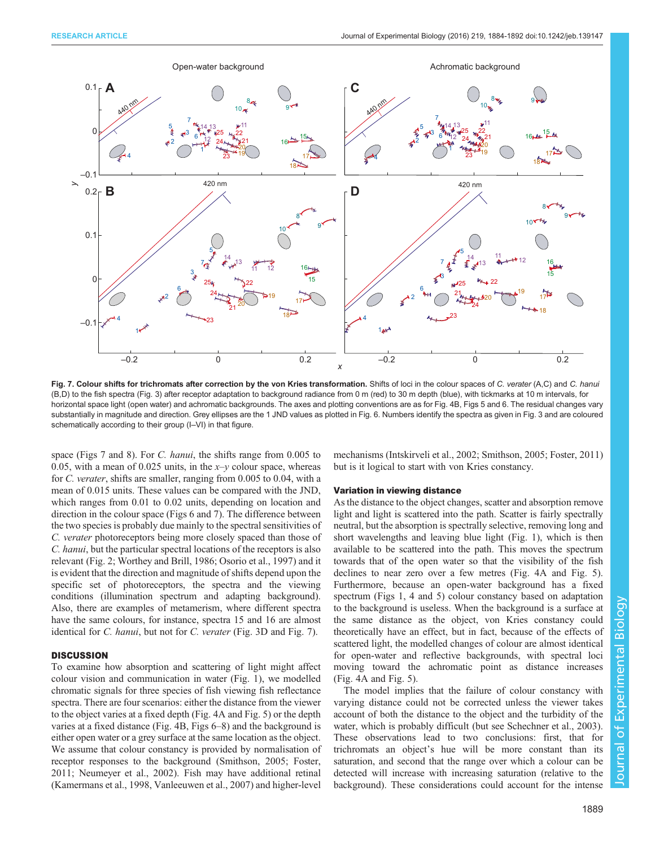<span id="page-5-0"></span>

Fig. 7. Colour shifts for trichromats after correction by the von Kries transformation. Shifts of loci in the colour spaces of C. verater (A,C) and C. hanui (B,D) to the fish spectra ([Fig. 3](#page-2-0)) after receptor adaptation to background radiance from 0 m (red) to 30 m depth (blue), with tickmarks at 10 m intervals, for horizontal space light (open water) and achromatic backgrounds. The axes and plotting conventions are as for [Fig. 4B](#page-3-0), [Figs 5](#page-4-0) and [6.](#page-4-0) The residual changes vary substantially in magnitude and direction. Grey ellipses are the 1 JND values as plotted in [Fig. 6.](#page-4-0) Numbers identify the spectra as given in [Fig. 3](#page-2-0) and are coloured schematically according to their group (I–VI) in that figure.

space (Figs 7 and [8](#page-6-0)). For C. *hanui*, the shifts range from 0.005 to 0.05, with a mean of 0.025 units, in the  $x-y$  colour space, whereas for C. verater, shifts are smaller, ranging from 0.005 to 0.04, with a mean of 0.015 units. These values can be compared with the JND, which ranges from 0.01 to 0.02 units, depending on location and direction in the colour space ([Figs 6](#page-4-0) and 7). The difference between the two species is probably due mainly to the spectral sensitivities of C. verater photoreceptors being more closely spaced than those of C. hanui, but the particular spectral locations of the receptors is also relevant ([Fig. 2](#page-1-0); [Worthey and Brill, 1986](#page-8-0); [Osorio et al., 1997](#page-7-0)) and it is evident that the direction and magnitude of shifts depend upon the specific set of photoreceptors, the spectra and the viewing conditions (illumination spectrum and adapting background). Also, there are examples of metamerism, where different spectra have the same colours, for instance, spectra 15 and 16 are almost identical for *C. hanui*, but not for *C. verater* [\(Fig. 3D](#page-2-0) and Fig. 7).

#### **DISCUSSION**

To examine how absorption and scattering of light might affect colour vision and communication in water ([Fig. 1\)](#page-1-0), we modelled chromatic signals for three species of fish viewing fish reflectance spectra. There are four scenarios: either the distance from the viewer to the object varies at a fixed depth [\(Fig. 4](#page-3-0)A and [Fig. 5](#page-4-0)) or the depth varies at a fixed distance ([Fig. 4B](#page-3-0), [Figs 6](#page-4-0)–[8\)](#page-6-0) and the background is either open water or a grey surface at the same location as the object. We assume that colour constancy is provided by normalisation of receptor responses to the background [\(Smithson, 2005](#page-8-0); [Foster,](#page-7-0) [2011](#page-7-0); [Neumeyer et al., 2002](#page-7-0)). Fish may have additional retinal [\(Kamermans et al., 1998,](#page-7-0) [Vanleeuwen et al., 2007](#page-8-0)) and higher-level

mechanisms ([Intskirveli et al., 2002;](#page-7-0) [Smithson, 2005;](#page-8-0) [Foster, 2011\)](#page-7-0) but is it logical to start with von Kries constancy.

#### Variation in viewing distance

As the distance to the object changes, scatter and absorption remove light and light is scattered into the path. Scatter is fairly spectrally neutral, but the absorption is spectrally selective, removing long and short wavelengths and leaving blue light [\(Fig. 1\)](#page-1-0), which is then available to be scattered into the path. This moves the spectrum towards that of the open water so that the visibility of the fish declines to near zero over a few metres [\(Fig. 4A](#page-3-0) and [Fig. 5\)](#page-4-0). Furthermore, because an open-water background has a fixed spectrum ([Figs 1](#page-1-0), [4](#page-3-0) and [5\)](#page-4-0) colour constancy based on adaptation to the background is useless. When the background is a surface at the same distance as the object, von Kries constancy could theoretically have an effect, but in fact, because of the effects of scattered light, the modelled changes of colour are almost identical for open-water and reflective backgrounds, with spectral loci moving toward the achromatic point as distance increases [\(Fig. 4](#page-3-0)A and [Fig. 5\)](#page-4-0).

The model implies that the failure of colour constancy with varying distance could not be corrected unless the viewer takes account of both the distance to the object and the turbidity of the water, which is probably difficult (but see [Schechner et al., 2003\)](#page-8-0). These observations lead to two conclusions: first, that for trichromats an object's hue will be more constant than its saturation, and second that the range over which a colour can be detected will increase with increasing saturation (relative to the background). These considerations could account for the intense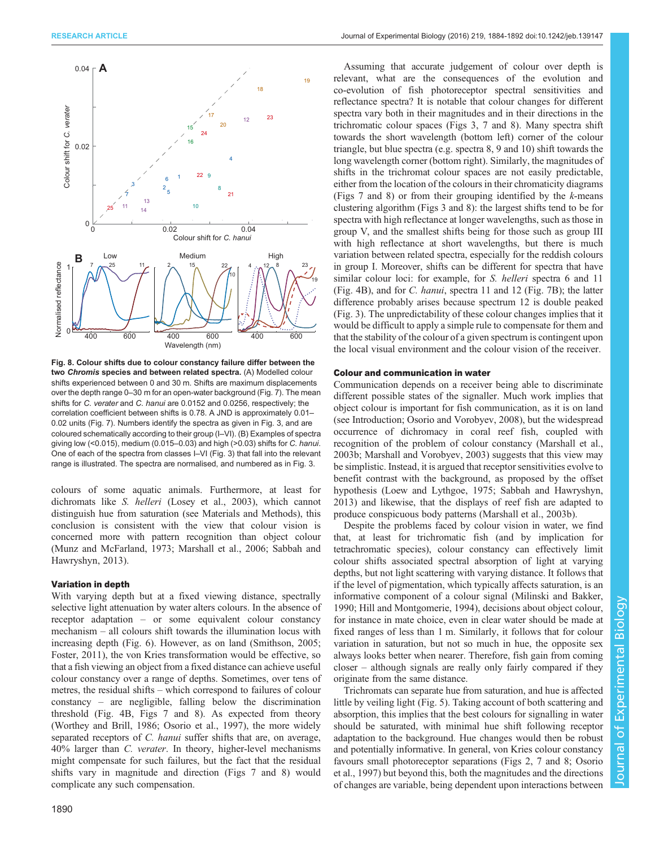<span id="page-6-0"></span>

Fig. 8. Colour shifts due to colour constancy failure differ between the two Chromis species and between related spectra. (A) Modelled colour shifts experienced between 0 and 30 m. Shifts are maximum displacements over the depth range 0–30 m for an open-water background [\(Fig. 7](#page-5-0)). The mean shifts for C. verater and C. hanui are 0.0152 and 0.0256, respectively; the correlation coefficient between shifts is 0.78. A JND is approximately 0.01– 0.02 units ([Fig. 7](#page-5-0)). Numbers identify the spectra as given in [Fig. 3,](#page-2-0) and are coloured schematically according to their group (I–VI). (B) Examples of spectra giving low (<0.015), medium (0.015–0.03) and high (>0.03) shifts for C. hanui. One of each of the spectra from classes I–VI ([Fig. 3](#page-2-0)) that fall into the relevant range is illustrated. The spectra are normalised, and numbered as in [Fig. 3.](#page-2-0)

colours of some aquatic animals. Furthermore, at least for dichromats like S. helleri ([Losey et al., 2003\)](#page-7-0), which cannot distinguish hue from saturation (see Materials and Methods), this conclusion is consistent with the view that colour vision is concerned more with pattern recognition than object colour [\(Munz and McFarland, 1973](#page-7-0); [Marshall et al., 2006](#page-7-0); [Sabbah and](#page-7-0) [Hawryshyn, 2013](#page-7-0)).

#### Variation in depth

With varying depth but at a fixed viewing distance, spectrally selective light attenuation by water alters colours. In the absence of receptor adaptation – or some equivalent colour constancy mechanism – all colours shift towards the illumination locus with increasing depth ([Fig. 6\)](#page-4-0). However, as on land ([Smithson, 2005](#page-8-0); [Foster, 2011](#page-7-0)), the von Kries transformation would be effective, so that a fish viewing an object from a fixed distance can achieve useful colour constancy over a range of depths. Sometimes, over tens of metres, the residual shifts – which correspond to failures of colour constancy – are negligible, falling below the discrimination threshold [\(Fig. 4B](#page-3-0), [Figs 7](#page-5-0) and 8). As expected from theory [\(Worthey and Brill, 1986;](#page-8-0) [Osorio et al., 1997](#page-7-0)), the more widely separated receptors of C. hanui suffer shifts that are, on average, 40% larger than C. verater. In theory, higher-level mechanisms might compensate for such failures, but the fact that the residual shifts vary in magnitude and direction [\(Figs 7](#page-5-0) and 8) would complicate any such compensation.

Assuming that accurate judgement of colour over depth is relevant, what are the consequences of the evolution and co-evolution of fish photoreceptor spectral sensitivities and reflectance spectra? It is notable that colour changes for different spectra vary both in their magnitudes and in their directions in the trichromatic colour spaces [\(Figs 3](#page-2-0), [7](#page-5-0) and 8). Many spectra shift towards the short wavelength (bottom left) corner of the colour triangle, but blue spectra (e.g. spectra 8, 9 and 10) shift towards the long wavelength corner (bottom right). Similarly, the magnitudes of shifts in the trichromat colour spaces are not easily predictable, either from the location of the colours in their chromaticity diagrams [\(Figs 7](#page-5-0) and 8) or from their grouping identified by the  $k$ -means clustering algorithm ([Figs 3](#page-2-0) and 8): the largest shifts tend to be for spectra with high reflectance at longer wavelengths, such as those in group V, and the smallest shifts being for those such as group III with high reflectance at short wavelengths, but there is much variation between related spectra, especially for the reddish colours in group I. Moreover, shifts can be different for spectra that have similar colour loci: for example, for *S. helleri* spectra 6 and 11 [\(Fig. 4B](#page-3-0)), and for C. hanui, spectra 11 and 12 ([Fig. 7](#page-5-0)B); the latter difference probably arises because spectrum 12 is double peaked [\(Fig. 3\)](#page-2-0). The unpredictability of these colour changes implies that it would be difficult to apply a simple rule to compensate for them and that the stability of the colour of a given spectrum is contingent upon the local visual environment and the colour vision of the receiver.

#### Colour and communication in water

Communication depends on a receiver being able to discriminate different possible states of the signaller. Much work implies that object colour is important for fish communication, as it is on land (see Introduction; [Osorio and Vorobyev, 2008\)](#page-7-0), but the widespread occurrence of dichromacy in coral reef fish, coupled with recognition of the problem of colour constancy ([Marshall et al.,](#page-7-0) [2003b; Marshall and Vorobyev, 2003\)](#page-7-0) suggests that this view may be simplistic. Instead, it is argued that receptor sensitivities evolve to benefit contrast with the background, as proposed by the offset hypothesis ([Loew and Lythgoe, 1975; Sabbah and Hawryshyn,](#page-7-0) [2013\)](#page-7-0) and likewise, that the displays of reef fish are adapted to produce conspicuous body patterns [\(Marshall et al., 2003b\)](#page-7-0).

Despite the problems faced by colour vision in water, we find that, at least for trichromatic fish (and by implication for tetrachromatic species), colour constancy can effectively limit colour shifts associated spectral absorption of light at varying depths, but not light scattering with varying distance. It follows that if the level of pigmentation, which typically affects saturation, is an informative component of a colour signal [\(Milinski and Bakker,](#page-7-0) [1990; Hill and Montgomerie, 1994\)](#page-7-0), decisions about object colour, for instance in mate choice, even in clear water should be made at fixed ranges of less than 1 m. Similarly, it follows that for colour variation in saturation, but not so much in hue, the opposite sex always looks better when nearer. Therefore, fish gain from coming closer – although signals are really only fairly compared if they originate from the same distance.

Trichromats can separate hue from saturation, and hue is affected little by veiling light ([Fig. 5\)](#page-4-0). Taking account of both scattering and absorption, this implies that the best colours for signalling in water should be saturated, with minimal hue shift following receptor adaptation to the background. Hue changes would then be robust and potentially informative. In general, von Kries colour constancy favours small photoreceptor separations [\(Figs 2,](#page-1-0) [7](#page-5-0) and 8; [Osorio](#page-7-0) [et al., 1997](#page-7-0)) but beyond this, both the magnitudes and the directions of changes are variable, being dependent upon interactions between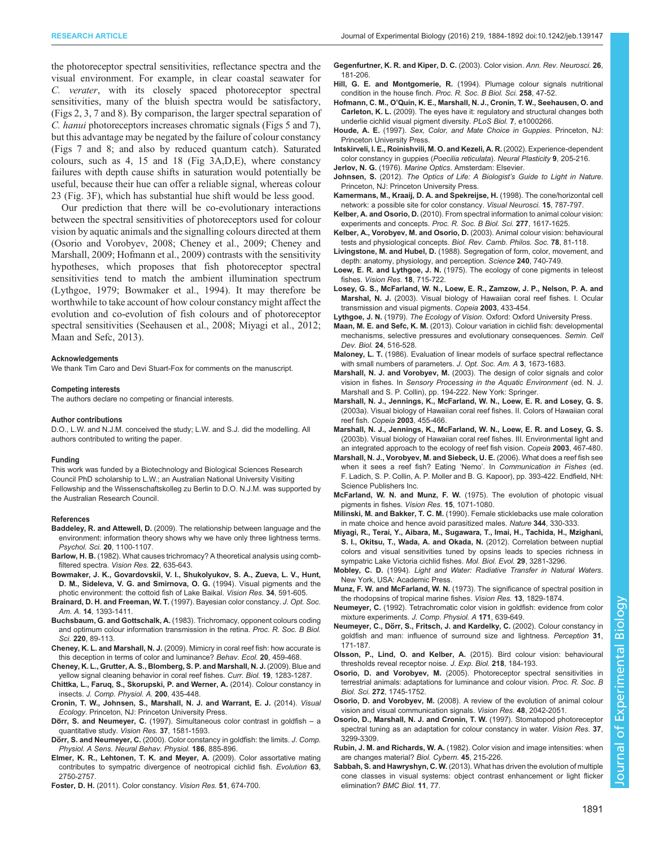<span id="page-7-0"></span>the photoreceptor spectral sensitivities, reflectance spectra and the visual environment. For example, in clear coastal seawater for C. verater, with its closely spaced photoreceptor spectral sensitivities, many of the bluish spectra would be satisfactory, [\(Figs 2](#page-1-0), [3](#page-2-0), [7](#page-5-0) and [8\)](#page-6-0). By comparison, the larger spectral separation of C. hanui photoreceptors increases chromatic signals [\(Figs 5](#page-4-0) and [7\)](#page-5-0), but this advantage may be negated by the failure of colour constancy [\(Figs 7](#page-5-0) and [8](#page-6-0); and also by reduced quantum catch). Saturated colours, such as 4, 15 and 18 ([Fig 3A](#page-2-0),D,E), where constancy failures with depth cause shifts in saturation would potentially be useful, because their hue can offer a reliable signal, whereas colour 23 [\(Fig. 3F](#page-2-0)), which has substantial hue shift would be less good.

Our prediction that there will be co-evolutionary interactions between the spectral sensitivities of photoreceptors used for colour vision by aquatic animals and the signalling colours directed at them (Osorio and Vorobyev, 2008; Cheney et al., 2009; Cheney and Marshall, 2009; Hofmann et al., 2009) contrasts with the sensitivity hypotheses, which proposes that fish photoreceptor spectral sensitivities tend to match the ambient illumination spectrum (Lythgoe, 1979; Bowmaker et al., 1994). It may therefore be worthwhile to take account of how colour constancy might affect the evolution and co-evolution of fish colours and of photoreceptor spectral sensitivities ([Seehausen et al., 2008;](#page-8-0) Miyagi et al., 2012; Maan and Sefc, 2013).

#### Acknowledgements

We thank Tim Caro and Devi Stuart-Fox for comments on the manuscript.

#### Competing interests The authors declare no competing or financial interests.

#### Author contributions

D.O., L.W. and N.J.M. conceived the study; L.W. and S.J. did the modelling. All authors contributed to writing the paper.

#### Funding

This work was funded by a Biotechnology and Biological Sciences Research Council PhD scholarship to L.W.; an Australian National University Visiting Fellowship and the Wissenschaftskolleg zu Berlin to D.O. N.J.M. was supported by the Australian Research Council.

#### References

- Baddeley, R. and Attewell, D. [\(2009\). The relationship between language and the](http://dx.doi.org/10.1111/j.1467-9280.2009.02412.x) [environment: information theory shows why we have only three lightness terms.](http://dx.doi.org/10.1111/j.1467-9280.2009.02412.x) [Psychol. Sci.](http://dx.doi.org/10.1111/j.1467-9280.2009.02412.x) 20, 1100-1107.
- Barlow, H. B. [\(1982\). What causes trichromacy? A theoretical analysis using comb](http://dx.doi.org/10.1016/0042-6989(82)90099-2)[filtered spectra.](http://dx.doi.org/10.1016/0042-6989(82)90099-2) Vision Res. 22, 635-643.
- [Bowmaker, J. K., Govardovskii, V. I., Shukolyukov, S. A., Zueva, L. V., Hunt,](http://dx.doi.org/10.1016/0042-6989(94)90015-9) [D. M., Sideleva, V. G. and Smirnova, O. G.](http://dx.doi.org/10.1016/0042-6989(94)90015-9) (1994). Visual pigments and the [photic environment: the cottoid fish of Lake Baikal.](http://dx.doi.org/10.1016/0042-6989(94)90015-9) Vision Res. 34, 591-605.
- [Brainard, D. H. and Freeman, W. T.](http://dx.doi.org/10.1364/JOSAA.14.001393) (1997). Bayesian color constancy. J. Opt. Soc. Am. A. 14[, 1393-1411.](http://dx.doi.org/10.1364/JOSAA.14.001393)
- Buchsbaum, G. and Gottschalk, A. [\(1983\). Trichromacy, opponent colours coding](http://dx.doi.org/10.1098/rspb.1983.0090) [and optimum colour information transmission in the retina.](http://dx.doi.org/10.1098/rspb.1983.0090) Proc. R. Soc. B Biol. Sci. 220[, 89-113.](http://dx.doi.org/10.1098/rspb.1983.0090)
- Cheney, K. L. and Marshall, N. J. [\(2009\). Mimicry in coral reef fish: how accurate is](http://dx.doi.org/10.1093/beheco/arp017) [this deception in terms of color and luminance?](http://dx.doi.org/10.1093/beheco/arp017) Behav. Ecol. 20, 459-468.
- [Cheney, K. L., Grutter, A. S., Blomberg, S. P. and Marshall, N. J.](http://dx.doi.org/10.1016/j.cub.2009.06.028) (2009). Blue and [yellow signal cleaning behavior in coral reef fishes.](http://dx.doi.org/10.1016/j.cub.2009.06.028) Curr. Biol. 19, 1283-1287.
- [Chittka, L., Faruq, S., Skorupski, P. and Werner, A.](http://dx.doi.org/10.1007/s00359-014-0897-z) (2014). Colour constancy in insects. [J. Comp. Physiol. A.](http://dx.doi.org/10.1007/s00359-014-0897-z) 200, 435-448.
- Cronin, T. W., Johnsen, S., Marshall, N. J. and Warrant, E. J. (2014). Visual Ecology. Princeton, NJ: Princeton University Press.
- Dörr, S. and Neumeyer, C. [\(1997\). Simultaneous color contrast in goldfish](http://dx.doi.org/10.1016/S0042-6989(96)00320-3) a [quantitative study.](http://dx.doi.org/10.1016/S0042-6989(96)00320-3) Vision Res. 37, 1581-1593.
- Dörr, S. and Neumeyer, C. [\(2000\). Color constancy in goldfish: the limits.](http://dx.doi.org/10.1007/s003590000141) J. Comp. [Physiol. A Sens. Neural Behav. Physiol.](http://dx.doi.org/10.1007/s003590000141) 186, 885-896.
- [Elmer, K. R., Lehtonen, T. K. and Meyer, A.](http://dx.doi.org/10.1111/j.1558-5646.2009.00736.x) (2009). Color assortative mating [contributes to sympatric divergence of neotropical cichlid fish.](http://dx.doi.org/10.1111/j.1558-5646.2009.00736.x) Evolution 63, [2750-2757.](http://dx.doi.org/10.1111/j.1558-5646.2009.00736.x)
- Foster, D. H. [\(2011\). Color constancy.](http://dx.doi.org/10.1016/j.visres.2010.09.006) Vision Res. 51, 674-700.
- [Gegenfurtner, K. R. and Kiper, D. C.](http://dx.doi.org/10.1146/annurev.neuro.26.041002.131116) (2003). Color vision. Ann. Rev. Neurosci. 26, [181-206.](http://dx.doi.org/10.1146/annurev.neuro.26.041002.131116)
- Hill, G. E. and Montgomerie, R. [\(1994\). Plumage colour signals nutritional](http://dx.doi.org/10.1098/rspb.1994.0140) [condition in the house finch.](http://dx.doi.org/10.1098/rspb.1994.0140) Proc. R. Soc. B Biol. Sci. 258, 47-52.
- Hofmann, C. M., O'[Quin, K. E., Marshall, N. J., Cronin, T. W., Seehausen, O. and](http://dx.doi.org/10.1371/journal.pbio.1000266) Carleton, K. L. [\(2009\). The eyes have it: regulatory and structural changes both](http://dx.doi.org/10.1371/journal.pbio.1000266) [underlie cichlid visual pigment diversity.](http://dx.doi.org/10.1371/journal.pbio.1000266) PLoS Biol. 7, e1000266.
- Houde, A. E. (1997). Sex, Color, and Mate Choice in Guppies. Princeton, NJ: Princeton University Press.
- [Intskirveli, I. E., Roinishvili, M. O. and Kezeli, A. R.](http://dx.doi.org/10.1155/NP.2002.205) (2002). Experience-dependent [color constancy in guppies \(](http://dx.doi.org/10.1155/NP.2002.205)Poecilia reticulata). Neural Plasticity 9, 205-216. Jerlov, N. G. (1976). Marine Optics. Amsterdam: Elsevier.
- Johnsen, S. (2012). The Optics of Life: A Biologist's Guide to Light in Nature. Princeton, NJ: Princeton University Press.
- [Kamermans, M., Kraaij, D. A. and Spekreijse, H.](http://dx.doi.org/10.1017/S0952523898154172) (1998). The cone/horizontal cell [network: a possible site for color constancy.](http://dx.doi.org/10.1017/S0952523898154172) Visual Neurosci. 15, 787-797.
- Kelber, A. and Osorio, D. [\(2010\). From spectral information to animal colour vision:](http://dx.doi.org/10.1098/rspb.2009.2118) [experiments and concepts.](http://dx.doi.org/10.1098/rspb.2009.2118) Proc. R. Soc. B Biol. Sci. 277, 1617-1625.
- [Kelber, A., Vorobyev, M. and Osorio, D.](http://dx.doi.org/10.1017/S1464793102005985) (2003). Animal colour vision: behavioural [tests and physiological concepts.](http://dx.doi.org/10.1017/S1464793102005985) Biol. Rev. Camb. Philos. Soc. 78, 81-118.
- Livingstone, M. and Hubel, D. [\(1988\). Segregation of form, color, movement, and](http://dx.doi.org/10.1126/science.3283936) [depth: anatomy, physiology, and perception.](http://dx.doi.org/10.1126/science.3283936) Science 240, 740-749.
- Loew, E. R. and Lythgoe, J. N. [\(1975\). The ecology of cone pigments in teleost](http://dx.doi.org/10.1016/0042-6989(78)90150-5) fishes. [Vision Res.](http://dx.doi.org/10.1016/0042-6989(78)90150-5) 18, 715-722.
- [Losey, G. S., McFarland, W. N., Loew, E. R., Zamzow, J. P., Nelson, P. A. and](http://dx.doi.org/10.1643/01-053) Marshal, N. J. [\(2003\). Visual biology of Hawaiian coral reef fishes. I. Ocular](http://dx.doi.org/10.1643/01-053) [transmission and visual pigments.](http://dx.doi.org/10.1643/01-053) Copeia 2003, 433-454.
- Lythgoe, J. N. (1979). The Ecology of Vision. Oxford: Oxford University Press.
- Maan, M. E. and Sefc, K. M. [\(2013\). Colour variation in cichlid fish: developmental](http://dx.doi.org/10.1016/j.semcdb.2013.05.003) [mechanisms, selective pressures and evolutionary consequences.](http://dx.doi.org/10.1016/j.semcdb.2013.05.003) Semin. Cell Dev. Biol. 24[, 516-528.](http://dx.doi.org/10.1016/j.semcdb.2013.05.003)
- Maloney, L. T. [\(1986\). Evaluation of linear models of surface spectral reflectance](http://dx.doi.org/10.1364/JOSAA.3.001673) [with small numbers of parameters.](http://dx.doi.org/10.1364/JOSAA.3.001673) J. Opt. Soc. Am. A 3, 1673-1683.
- Marshall, N. J. and Vorobyev, M. (2003). The design of color signals and color vision in fishes. In Sensory Processing in the Aquatic Environment (ed. N. J. Marshall and S. P. Collin), pp. 194-222. New York: Springer.
- [Marshall, N. J., Jennings, K., McFarland, W. N., Loew, E. R. and Losey, G. S.](http://dx.doi.org/10.1643/01-055) [\(2003a\). Visual biology of Hawaiian coral reef fishes. II. Colors of Hawaiian coral](http://dx.doi.org/10.1643/01-055) reef fish. Copeia 2003[, 455-466.](http://dx.doi.org/10.1643/01-055)
- [Marshall, N. J., Jennings, K., McFarland, W. N., Loew, E. R. and Losey, G. S.](http://dx.doi.org/10.1643/01-056) [\(2003b\). Visual biology of Hawaiian coral reef fishes. III. Environmental light and](http://dx.doi.org/10.1643/01-056) [an integrated approach to the ecology of reef fish vision.](http://dx.doi.org/10.1643/01-056) Copeia 2003, 467-480.
- Marshall, N. J., Vorobyev, M. and Siebeck, U. E. (2006). What does a reef fish see when it sees a reef fish? Eating 'Nemo'. In Communication in Fishes (ed. F. Ladich, S. P. Collin, A. P. Moller and B. G. Kapoor), pp. 393-422. Endfield, NH: Science Publishers Inc.
- McFarland, W. N. and Munz, F. W. [\(1975\). The evolution of photopic visual](http://dx.doi.org/10.1016/0042-6989(75)90003-6) [pigments in fishes.](http://dx.doi.org/10.1016/0042-6989(75)90003-6) Vision Res. 15, 1071-1080.
- Milinski, M. and Bakker, T. C. M. [\(1990\). Female sticklebacks use male coloration](http://dx.doi.org/10.1038/344330a0) [in mate choice and hence avoid parasitized males.](http://dx.doi.org/10.1038/344330a0) Nature 344, 330-333.
- [Miyagi, R., Terai, Y., Aibara, M., Sugawara, T., Imai, H., Tachida, H., Mzighani,](http://dx.doi.org/10.1093/molbev/mss139) [S. I., Okitsu, T., Wada, A. and Okada, N.](http://dx.doi.org/10.1093/molbev/mss139) (2012). Correlation between nuptial [colors and visual sensitivities tuned by opsins leads to species richness in](http://dx.doi.org/10.1093/molbev/mss139) [sympatric Lake Victoria cichlid fishes.](http://dx.doi.org/10.1093/molbev/mss139) Mol. Biol. Evol. 29, 3281-3296.
- Mobley, C. D. (1994). Light and Water: Radiative Transfer in Natural Waters. New York, USA: Academic Press.
- Munz, F. W. and McFarland, W. N. [\(1973\). The significance of spectral position in](http://dx.doi.org/10.1016/0042-6989(73)90060-6) [the rhodopsins of tropical marine fishes.](http://dx.doi.org/10.1016/0042-6989(73)90060-6) Vision Res. 13, 1829-1874.
- Neumeyer, C. [\(1992\). Tetrachromatic color vision in goldfish: evidence from color](http://dx.doi.org/10.1007/BF00194111) [mixture experiments.](http://dx.doi.org/10.1007/BF00194111) J. Comp. Physiol. A 171, 639-649.
- Neumeyer, C., Dö[rr, S., Fritsch, J. and Kardelky, C.](http://dx.doi.org/10.1068/p05sp) (2002). Colour constancy in [goldfish and man: influence of surround size and lightness.](http://dx.doi.org/10.1068/p05sp) Perception 31, [171-187.](http://dx.doi.org/10.1068/p05sp)
- Olsson, P., Lind, O. and Kelber, A. [\(2015\). Bird colour vision: behavioural](http://dx.doi.org/10.1242/jeb.111187) [thresholds reveal receptor noise.](http://dx.doi.org/10.1242/jeb.111187) J. Exp. Biol. 218, 184-193.
- Osorio, D. and Vorobyev, M. [\(2005\). Photoreceptor spectral sensitivities in](http://dx.doi.org/10.1098/rspb.2005.3156) [terrestrial animals: adaptations for luminance and colour vision.](http://dx.doi.org/10.1098/rspb.2005.3156) Proc. R. Soc. B Biol. Sci. 272[, 1745-1752.](http://dx.doi.org/10.1098/rspb.2005.3156)
- Osorio, D. and Vorobyev, M. [\(2008\). A review of the evolution of animal colour](http://dx.doi.org/10.1016/j.visres.2008.06.018) [vision and visual communication signals.](http://dx.doi.org/10.1016/j.visres.2008.06.018) Vision Res. 48, 2042-2051.
- [Osorio, D., Marshall, N. J. and Cronin, T. W.](http://dx.doi.org/10.1016/S0042-6989(97)00136-3) (1997). Stomatopod photoreceptor [spectral tuning as an adaptation for colour constancy in water.](http://dx.doi.org/10.1016/S0042-6989(97)00136-3) Vision Res. 37, [3299-3309.](http://dx.doi.org/10.1016/S0042-6989(97)00136-3)

Sabbah, S. and Hawryshyn, C. W. [\(2013\). What has driven the evolution of multiple](http://dx.doi.org/10.1186/1741-7007-11-77) [cone classes in visual systems: object contrast enhancement or light flicker](http://dx.doi.org/10.1186/1741-7007-11-77) [elimination?](http://dx.doi.org/10.1186/1741-7007-11-77) BMC Biol. 11, 77.

Rubin, J. M. and Richards, W. A. [\(1982\). Color vision and image intensities: when](http://dx.doi.org/10.1007/BF00336194) [are changes material?](http://dx.doi.org/10.1007/BF00336194) Biol. Cybern. 45, 215-226.